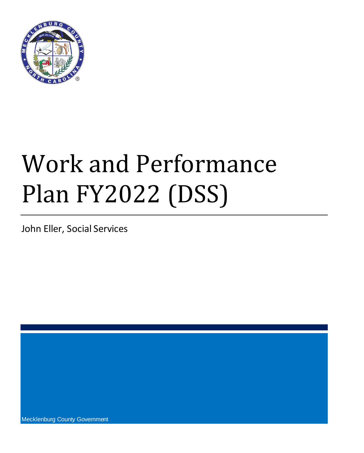

# Work and Performance Plan FY2022 (DSS)

John Eller, Social Services

Mecklenburg County Government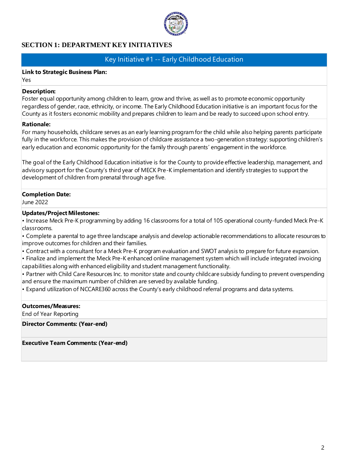

# **SECTION 1: DEPARTMENT KEY INITIATIVES**

# Key Initiative #1 -- Early Childhood Education

#### **Link to Strategic Business Plan:**

Yes

#### **Description:**

Foster equal opportunity among children to learn, grow and thrive, as well as to promote economic opportunity regardless of gender, race, ethnicity, or income. The Early Childhood Education initiative is an important focus for the County as it fosters economic mobility and prepares children to learn and be ready to succeed upon school entry.

#### **Rationale:**

For many households, childcare serves as an early learning program for the child while also helping parents participate fully in the workforce. This makes the provision of childcare assistance a two-generation strategy: supporting children's early education and economic opportunity for the family through parents' engagement in the workforce.

The goal of the Early Childhood Education initiative is for the County to provide effective leadership, management, and advisory support for the County's third year of MECK Pre-K implementation and identify strategies to support the development of children from prenatal through age five.

# **Completion Date:**

June 2022

#### **Updates/Project Milestones:**

• Increase Meck Pre-K programming by adding 16 classrooms for a total of 105 operational county-funded Meck Pre-K classrooms.

• Complete a parental to age three landscape analysis and develop actionable recommendations to allocate resources to improve outcomes for children and their families.

• Contract with a consultant for a Meck Pre-K program evaluation and SWOT analysis to prepare for future expansion.

• Finalize and implement the Meck Pre-K enhanced online management system which will include integrated invoicing capabilities along with enhanced eligibility and student management functionality.

• Partner with Child Care Resources Inc. to monitor state and county childcare subsidy funding to prevent overspending and ensure the maximum number of children are served by available funding.

• Expand utilization of NCCARE360 across the County's early childhood referral programs and data systems.

#### **Outcomes/Measures:**

End of Year Reporting

**Director Comments: (Year-end)**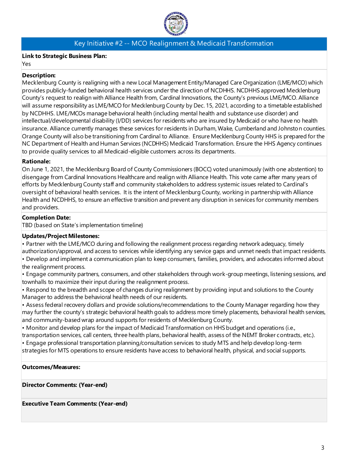

# Key Initiative #2 -- MCO Realignment & Medicaid Transformation

## **Link to Strategic Business Plan:**

#### Yes

## **Description:**

Mecklenburg County is realigning with a new Local Management Entity/Managed Care Organization (LME/MCO) which provides publicly-funded behavioral health services under the direction of NCDHHS. NCDHHS approved Mecklenburg County's request to realign with Alliance Health from, Cardinal Innovations, the County's previous LME/MCO. Alliance will assume responsibility as LME/MCO for Mecklenburg County by Dec. 15, 2021, according to a timetable established by NCDHHS. LME/MCOs manage behavioral health (including mental health and substance use disorder) and intellectual/developmental disability (I/DD) services for residents who are insured by Medicaid or who have no health insurance. Alliance currently manages these services for residents in Durham, Wake, Cumberland and Johnston counties. Orange County will also be transitioning from Cardinal to Alliance. Ensure Mecklenburg County HHS is prepared for the NC Department of Health and Human Services (NCDHHS) Medicaid Transformation. Ensure the HHS Agency continues to provide quality services to all Medicaid-eligible customers across its departments.

#### **Rationale:**

On June 1, 2021, the Mecklenburg Board of County Commissioners (BOCC) voted unanimously (with one abstention) to disengage from Cardinal Innovations Healthcare and realign with Alliance Health. This vote came after many years of efforts by Mecklenburg County staff and community stakeholders to address systemic issues related to Cardinal's oversight of behavioral health services. It is the intent of Mecklenburg County, working in partnership with Alliance Health and NCDHHS, to ensure an effective transition and prevent any disruption in services for community members and providers.

# **Completion Date:**

TBD (based on State's implementation timeline)

# **Updates/Project Milestones:**

• Partner with the LME/MCO during and following the realignment process regarding network adequacy, timely authorization/approval, and access to services while identifying any service gaps and unmet needs that impact residents.

• Develop and implement a communication plan to keep consumers, families, providers, and advocates informed about the realignment process.

• Engage community partners, consumers, and other stakeholders through work-group meetings, listening sessions, and townhalls to maximize their input during the realignment process.

• Respond to the breadth and scope of changes during realignment by providing input and solutions to the County Manager to address the behavioral health needs of our residents.

• Assess federal recovery dollars and provide solutions/recommendations to the County Manager regarding how they may further the county's strategic behavioral health goals to address more timely placements, behavioral health services, and community-based wrap around supports for residents of Mecklenburg County.

• Monitor and develop plans for the impact of Medicaid Transformation on HHS budget and operations (i.e., transportation services, call centers, three health plans, behavioral health, assess of the NEMT Broker contracts, etc.).

• Engage professional transportation planning/consultation services to study MTS and help develop long-term strategies for MTS operations to ensure residents have access to behavioral health, physical, and social supports.

#### **Outcomes/Measures:**

**Director Comments: (Year-end)**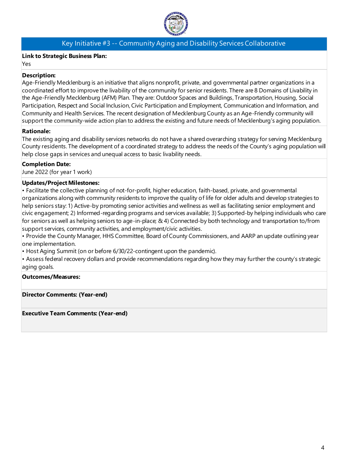

# Key Initiative #3 -- Community Aging and Disability Services Collaborative

# **Link to Strategic Business Plan:**

Yes

## **Description:**

Age-Friendly Mecklenburg is an initiative that aligns nonprofit, private, and governmental partner organizations in a coordinated effort to improve the livability of the community for senior residents. There are 8 Domains of Livability in the Age-Friendly Mecklenburg (AFM) Plan. They are: Outdoor Spaces and Buildings, Transportation, Housing, Social Participation, Respect and Social Inclusion, Civic Participation and Employment, Communication and Information, and Community and Health Services. The recent designation of Mecklenburg County as an Age-Friendly community will support the community-wide action plan to address the existing and future needs of Mecklenburg's aging population.

# **Rationale:**

The existing aging and disability services networks do not have a shared overarching strategy for serving Mecklenburg County residents. The development of a coordinated strategy to address the needs of the County's aging population will help close gaps in services and unequal access to basic livability needs.

# **Completion Date:**

June 2022 (for year 1 work)

# **Updates/Project Milestones:**

• Facilitate the collective planning of not-for-profit, higher education, faith-based, private, and governmental organizations along with community residents to improve the quality of life for older adults and develop strategies to help seniors stay: 1) Active-by promoting senior activities and wellness as well as facilitating senior employment and civic engagement; 2) Informed-regarding programs and services available; 3) Supported-by helping individuals who care for seniors as well as helping seniors to age-in-place; & 4) Connected-by both technology and transportation to/from support services, community activities, and employment/civic activities.

• Provide the County Manager, HHS Committee, Board of County Commissioners, and AARP an update outlining year one implementation.

• Host Aging Summit (on or before 6/30/22-contingent upon the pandemic).

• Assess federal recovery dollars and provide recommendations regarding how they may further the county's strategic aging goals.

#### **Outcomes/Measures:**

**Director Comments: (Year-end)**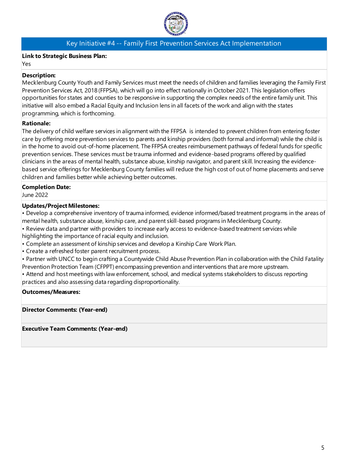

# Key Initiative #4 -- Family First Prevention Services Act Implementation

## **Link to Strategic Business Plan:**

Yes

## **Description:**

Mecklenburg County Youth and Family Services must meet the needs of children and families leveraging the Family First Prevention Services Act, 2018 (FFPSA), which will go into effect nationally in October 2021. This legislation offers opportunities for states and counties to be responsive in supporting the complex needs of the entire family unit. This initiative will also embed a Racial Equity and Inclusion lens in all facets of the work and align with the states programming, which is forthcoming.

# **Rationale:**

The delivery of child welfare services in alignment with the FFPSA is intended to prevent children from entering foster care by offering more prevention services to parents and kinship providers (both formal and informal) while the child is in the home to avoid out-of-home placement. The FFPSA creates reimbursement pathways of federal funds for specific prevention services. These services must be trauma informed and evidence-based programs offered by qualified clinicians in the areas of mental health, substance abuse, kinship navigator, and parent skill. Increasing the evidencebased service offerings for Mecklenburg County families will reduce the high cost of out of home placements and serve children and families better while achieving better outcomes.

# **Completion Date:**

June 2022

# **Updates/Project Milestones:**

• Develop a comprehensive inventory of trauma informed, evidence informed/based treatment programs in the areas of mental health, substance abuse, kinship care, and parent skill-based programs in Mecklenburg County.

- Review data and partner with providers to increase early access to evidence-based treatment services while highlighting the importance of racial equity and inclusion.
- Complete an assessment of kinship services and develop a Kinship Care Work Plan.
- Create a refreshed foster parent recruitment process.
- Partner with UNCC to begin crafting a Countywide Child Abuse Prevention Plan in collaboration with the Child Fatality Prevention Protection Team (CFPPT) encompassing prevention and interventions that are more upstream.
- Attend and host meetings with law enforcement, school, and medical systems stakeholders to discuss reporting practices and also assessing data regarding disproportionality.

**Outcomes/Measures:**

**Director Comments: (Year-end)**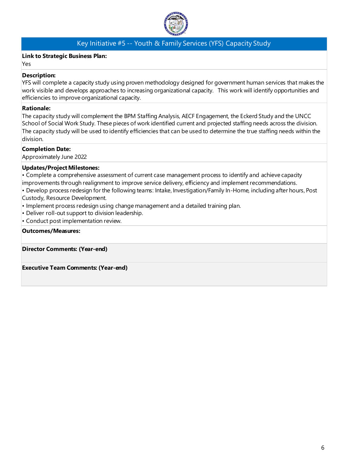

# Key Initiative #5 -- Youth & Family Services (YFS) Capacity Study

#### **Link to Strategic Business Plan:**

Yes

#### **Description:**

YFS will complete a capacity study using proven methodology designed for government human services that makes the work visible and develops approaches to increasing organizational capacity. This work will identify opportunities and efficiencies to improve organizational capacity.

#### **Rationale:**

The capacity study will complement the BPM Staffing Analysis, AECF Engagement, the Eckerd Study and the UNCC School of Social Work Study. These pieces of work identified current and projected staffing needs across the division. The capacity study will be used to identify efficiencies that can be used to determine the true staffing needs within the division.

#### **Completion Date:**

Approximately June 2022

#### **Updates/Project Milestones:**

• Complete a comprehensive assessment of current case management process to identify and achieve capacity improvements through realignment to improve service delivery, efficiency and implement recommendations.

• Develop process redesign for the following teams: Intake, Investigation/Family In-Home, including after hours, Post

Custody, Resource Development.

- Implement process redesign using change management and a detailed training plan.
- Deliver roll-out support to division leadership.
- Conduct post implementation review.

#### **Outcomes/Measures:**

**Director Comments: (Year-end)**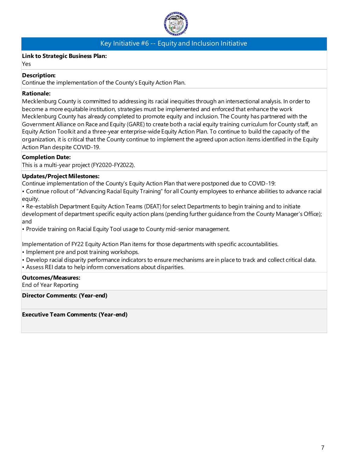

# Key Initiative #6 -- Equity and Inclusion Initiative

#### **Link to Strategic Business Plan:**

Yes

#### **Description:**

Continue the implementation of the County's Equity Action Plan.

#### **Rationale:**

Mecklenburg County is committed to addressing its racial inequities through an intersectional analysis. In order to become a more equitable institution, strategies must be implemented and enforced that enhance the work Mecklenburg County has already completed to promote equity and inclusion. The County has partnered with the Government Alliance on Race and Equity (GARE) to create both a racial equity training curriculum for County staff, an Equity Action Toolkit and a three-year enterprise-wide Equity Action Plan. To continue to build the capacity of the organization, it is critical that the County continue to implement the agreed upon action items identified in the Equity Action Plan despite COVID-19.

#### **Completion Date:**

This is a multi-year project (FY2020-FY2022).

#### **Updates/Project Milestones:**

Continue implementation of the County's Equity Action Plan that were postponed due to COVID-19:

• Continue rollout of "Advancing Racial Equity Training" for all County employees to enhance abilities to advance racial equity.

• Re-establish Department Equity Action Teams (DEAT) for select Departments to begin training and to initiate development of department specific equity action plans (pending further guidance from the County Manager's Office); and

• Provide training on Racial Equity Tool usage to County mid-senior management.

Implementation of FY22 Equity Action Plan items for those departments with specific accountabilities.

- Implement pre and post training workshops.
- Develop racial disparity performance indicators to ensure mechanisms are in place to track and collect critical data.
- Assess REI data to help inform conversations about disparities.

#### **Outcomes/Measures:**

End of Year Reporting

**Director Comments: (Year-end)**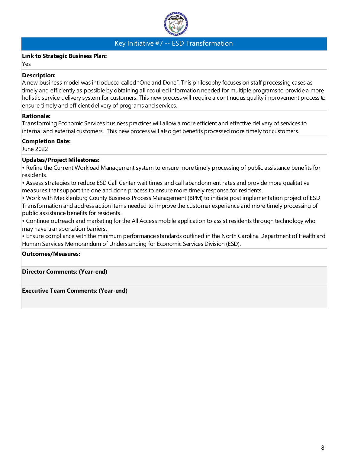

# Key Initiative #7 -- ESD Transformation

#### **Link to Strategic Business Plan:**

Yes

#### **Description:**

A new business model was introduced called "One and Done". This philosophy focuses on staff processing cases as timely and efficiently as possible by obtaining all required information needed for multiple programs to provide a more holistic service delivery system for customers. This new process will require a continuous quality improvement process to ensure timely and efficient delivery of programs and services.

#### **Rationale:**

Transforming Economic Services business practices will allow a more efficient and effective delivery of services to internal and external customers. This new process will also get benefits processed more timely for customers.

#### **Completion Date:**

June 2022

#### **Updates/Project Milestones:**

• Refine the Current Workload Management system to ensure more timely processing of public assistance benefits for residents.

• Assess strategies to reduce ESD Call Center wait times and call abandonment rates and provide more qualitative measures that support the one and done process to ensure more timely response for residents.

• Work with Mecklenburg County Business Process Management (BPM) to initiate post implementation project of ESD Transformation and address action items needed to improve the customer experience and more timely processing of public assistance benefits for residents.

• Continue outreach and marketing for the All Access mobile application to assist residents through technology who may have transportation barriers.

• Ensure compliance with the minimum performance standards outlined in the North Carolina Department of Health and Human Services Memorandum of Understanding for Economic Services Division (ESD).

#### **Outcomes/Measures:**

#### **Director Comments: (Year-end)**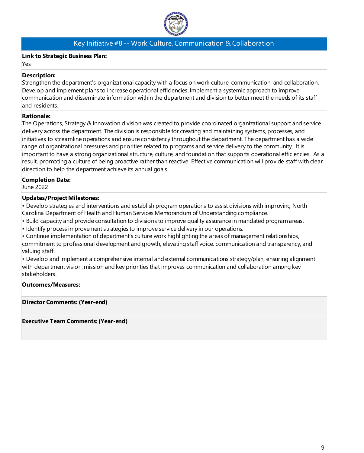

# Key Initiative #8 -- Work Culture, Communication & Collaboration

## **Link to Strategic Business Plan:**

Yes

#### **Description:**

Strengthen the department's organizational capacity with a focus on work culture, communication, and collaboration. Develop and implement plans to increase operational efficiencies. Implement a systemic approach to improve communication and disseminate information within the department and division to better meet the needs of its staff and residents.

# **Rationale:**

The Operations, Strategy & Innovation division was created to provide coordinated organizational support and service delivery across the department. The division is responsible for creating and maintaining systems, processes, and initiatives to streamline operations and ensure consistency throughout the department. The department has a wide range of organizational pressures and priorities related to programs and service delivery to the community. It is important to have a strong organizational structure, culture, and foundation that supports operational efficiencies. As a result, promoting a culture of being proactive rather than reactive. Effective communication will provide staff with clear direction to help the department achieve its annual goals.

# **Completion Date:**

June 2022

# **Updates/Project Milestones:**

• Develop strategies and interventions and establish program operations to assist divisions with improving North Carolina Department of Health and Human Services Memorandum of Understanding compliance.

- Build capacity and provide consultation to divisions to improve quality assurance in mandated program areas.
- Identify process improvement strategies to improve service delivery in our operations.
- Continue implementation of department's culture work highlighting the areas of management relationships,

commitment to professional development and growth, elevating staff voice, communication and transparency, and valuing staff.

• Develop and implement a comprehensive internal and external communications strategy/plan, ensuring alignment with department vision, mission and key priorities that improves communication and collaboration among key stakeholders.

#### **Outcomes/Measures:**

#### **Director Comments: (Year-end)**